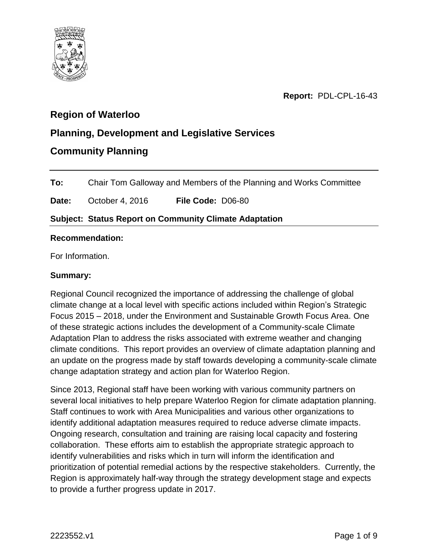

**Report:** PDL-CPL-16-43

# **Region of Waterloo**

# **Planning, Development and Legislative Services**

# **Community Planning**

**To:** Chair Tom Galloway and Members of the Planning and Works Committee

**Date:** October 4, 2016 **File Code:** D06-80

# **Subject: Status Report on Community Climate Adaptation**

### **Recommendation:**

For Information.

# **Summary:**

Regional Council recognized the importance of addressing the challenge of global climate change at a local level with specific actions included within Region's Strategic Focus 2015 – 2018, under the Environment and Sustainable Growth Focus Area. One of these strategic actions includes the development of a Community-scale Climate Adaptation Plan to address the risks associated with extreme weather and changing climate conditions. This report provides an overview of climate adaptation planning and an update on the progress made by staff towards developing a community-scale climate change adaptation strategy and action plan for Waterloo Region.

Since 2013, Regional staff have been working with various community partners on several local initiatives to help prepare Waterloo Region for climate adaptation planning. Staff continues to work with Area Municipalities and various other organizations to identify additional adaptation measures required to reduce adverse climate impacts. Ongoing research, consultation and training are raising local capacity and fostering collaboration. These efforts aim to establish the appropriate strategic approach to identify vulnerabilities and risks which in turn will inform the identification and prioritization of potential remedial actions by the respective stakeholders. Currently, the Region is approximately half-way through the strategy development stage and expects to provide a further progress update in 2017.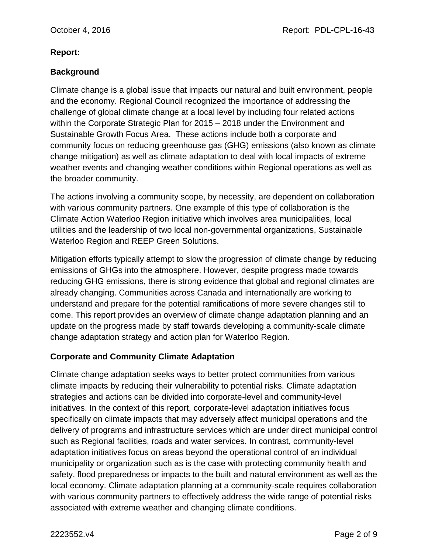#### **Report:**

# **Background**

Climate change is a global issue that impacts our natural and built environment, people and the economy. Regional Council recognized the importance of addressing the challenge of global climate change at a local level by including four related actions within the Corporate Strategic Plan for 2015 – 2018 under the Environment and Sustainable Growth Focus Area. These actions include both a corporate and community focus on reducing greenhouse gas (GHG) emissions (also known as climate change mitigation) as well as climate adaptation to deal with local impacts of extreme weather events and changing weather conditions within Regional operations as well as the broader community.

The actions involving a community scope, by necessity, are dependent on collaboration with various community partners. One example of this type of collaboration is the Climate Action Waterloo Region initiative which involves area municipalities, local utilities and the leadership of two local non-governmental organizations, Sustainable Waterloo Region and REEP Green Solutions.

Mitigation efforts typically attempt to slow the progression of climate change by reducing emissions of GHGs into the atmosphere. However, despite progress made towards reducing GHG emissions, there is strong evidence that global and regional climates are already changing. Communities across Canada and internationally are working to understand and prepare for the potential ramifications of more severe changes still to come. This report provides an overview of climate change adaptation planning and an update on the progress made by staff towards developing a community-scale climate change adaptation strategy and action plan for Waterloo Region.

# **Corporate and Community Climate Adaptation**

Climate change adaptation seeks ways to better protect communities from various climate impacts by reducing their vulnerability to potential risks. Climate adaptation strategies and actions can be divided into corporate-level and community-level initiatives. In the context of this report, corporate-level adaptation initiatives focus specifically on climate impacts that may adversely affect municipal operations and the delivery of programs and infrastructure services which are under direct municipal control such as Regional facilities, roads and water services. In contrast, community-level adaptation initiatives focus on areas beyond the operational control of an individual municipality or organization such as is the case with protecting community health and safety, flood preparedness or impacts to the built and natural environment as well as the local economy. Climate adaptation planning at a community-scale requires collaboration with various community partners to effectively address the wide range of potential risks associated with extreme weather and changing climate conditions.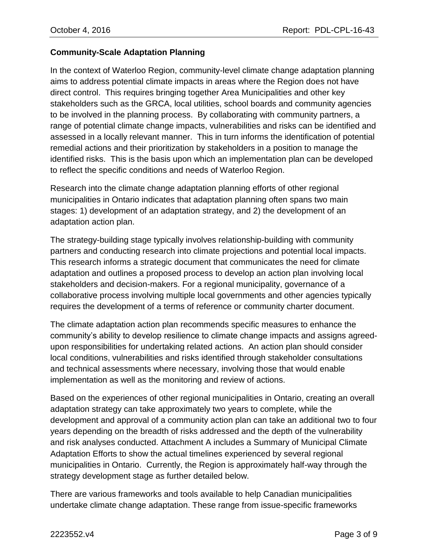# **Community-Scale Adaptation Planning**

In the context of Waterloo Region, community-level climate change adaptation planning aims to address potential climate impacts in areas where the Region does not have direct control. This requires bringing together Area Municipalities and other key stakeholders such as the GRCA, local utilities, school boards and community agencies to be involved in the planning process. By collaborating with community partners, a range of potential climate change impacts, vulnerabilities and risks can be identified and assessed in a locally relevant manner. This in turn informs the identification of potential remedial actions and their prioritization by stakeholders in a position to manage the identified risks. This is the basis upon which an implementation plan can be developed to reflect the specific conditions and needs of Waterloo Region.

Research into the climate change adaptation planning efforts of other regional municipalities in Ontario indicates that adaptation planning often spans two main stages: 1) development of an adaptation strategy, and 2) the development of an adaptation action plan.

The strategy-building stage typically involves relationship-building with community partners and conducting research into climate projections and potential local impacts. This research informs a strategic document that communicates the need for climate adaptation and outlines a proposed process to develop an action plan involving local stakeholders and decision-makers. For a regional municipality, governance of a collaborative process involving multiple local governments and other agencies typically requires the development of a terms of reference or community charter document.

The climate adaptation action plan recommends specific measures to enhance the community's ability to develop resilience to climate change impacts and assigns agreedupon responsibilities for undertaking related actions. An action plan should consider local conditions, vulnerabilities and risks identified through stakeholder consultations and technical assessments where necessary, involving those that would enable implementation as well as the monitoring and review of actions.

Based on the experiences of other regional municipalities in Ontario, creating an overall adaptation strategy can take approximately two years to complete, while the development and approval of a community action plan can take an additional two to four years depending on the breadth of risks addressed and the depth of the vulnerability and risk analyses conducted. Attachment A includes a Summary of Municipal Climate Adaptation Efforts to show the actual timelines experienced by several regional municipalities in Ontario. Currently, the Region is approximately half-way through the strategy development stage as further detailed below.

There are various frameworks and tools available to help Canadian municipalities undertake climate change adaptation. These range from issue-specific frameworks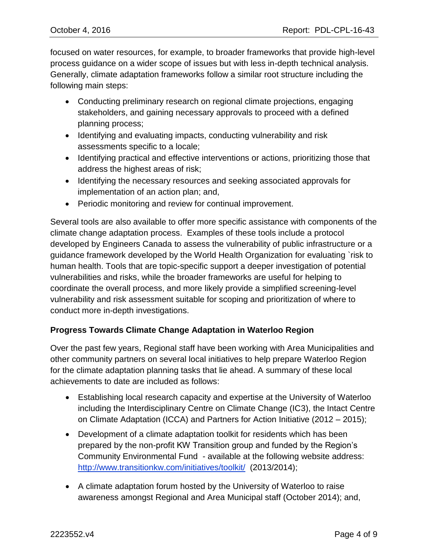focused on water resources, for example, to broader frameworks that provide high-level process guidance on a wider scope of issues but with less in-depth technical analysis. Generally, climate adaptation frameworks follow a similar root structure including the following main steps:

- Conducting preliminary research on regional climate projections, engaging stakeholders, and gaining necessary approvals to proceed with a defined planning process;
- Identifying and evaluating impacts, conducting vulnerability and risk assessments specific to a locale;
- Identifying practical and effective interventions or actions, prioritizing those that address the highest areas of risk;
- Identifying the necessary resources and seeking associated approvals for implementation of an action plan; and,
- Periodic monitoring and review for continual improvement.

Several tools are also available to offer more specific assistance with components of the climate change adaptation process. Examples of these tools include a protocol developed by Engineers Canada to assess the vulnerability of public infrastructure or a guidance framework developed by the World Health Organization for evaluating `risk to human health. Tools that are topic-specific support a deeper investigation of potential vulnerabilities and risks, while the broader frameworks are useful for helping to coordinate the overall process, and more likely provide a simplified screening-level vulnerability and risk assessment suitable for scoping and prioritization of where to conduct more in-depth investigations.

# **Progress Towards Climate Change Adaptation in Waterloo Region**

Over the past few years, Regional staff have been working with Area Municipalities and other community partners on several local initiatives to help prepare Waterloo Region for the climate adaptation planning tasks that lie ahead. A summary of these local achievements to date are included as follows:

- Establishing local research capacity and expertise at the University of Waterloo including the Interdisciplinary Centre on Climate Change (IC3), the Intact Centre on Climate Adaptation (ICCA) and Partners for Action Initiative (2012 – 2015);
- Development of a climate adaptation toolkit for residents which has been prepared by the non-profit KW Transition group and funded by the Region's Community Environmental Fund - available at the following website address: <http://www.transitionkw.com/initiatives/toolkit/>(2013/2014);
- A climate adaptation forum hosted by the University of Waterloo to raise awareness amongst Regional and Area Municipal staff (October 2014); and,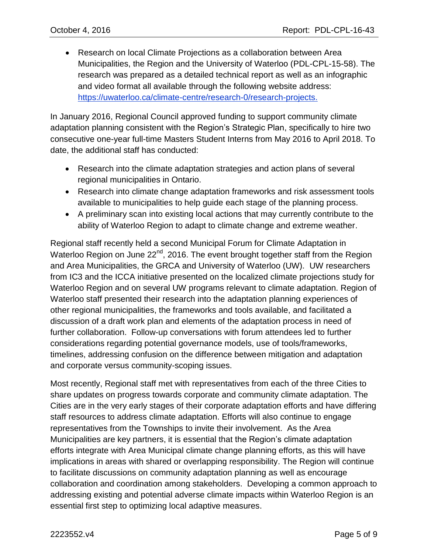Research on local Climate Projections as a collaboration between Area Municipalities, the Region and the University of Waterloo (PDL-CPL-15-58). The research was prepared as a detailed technical report as well as an infographic and video format all available through the following website address: [https://uwaterloo.ca/climate-centre/research-0/research-projects.](https://uwaterloo.ca/climate-centre/research-0/research-projects)

In January 2016, Regional Council approved funding to support community climate adaptation planning consistent with the Region's Strategic Plan, specifically to hire two consecutive one-year full-time Masters Student Interns from May 2016 to April 2018. To date, the additional staff has conducted:

- Research into the climate adaptation strategies and action plans of several regional municipalities in Ontario.
- Research into climate change adaptation frameworks and risk assessment tools available to municipalities to help guide each stage of the planning process.
- A preliminary scan into existing local actions that may currently contribute to the ability of Waterloo Region to adapt to climate change and extreme weather.

Regional staff recently held a second Municipal Forum for Climate Adaptation in Waterloo Region on June 22<sup>nd</sup>, 2016. The event brought together staff from the Region and Area Municipalities, the GRCA and University of Waterloo (UW). UW researchers from IC3 and the ICCA initiative presented on the localized climate projections study for Waterloo Region and on several UW programs relevant to climate adaptation. Region of Waterloo staff presented their research into the adaptation planning experiences of other regional municipalities, the frameworks and tools available, and facilitated a discussion of a draft work plan and elements of the adaptation process in need of further collaboration. Follow-up conversations with forum attendees led to further considerations regarding potential governance models, use of tools/frameworks, timelines, addressing confusion on the difference between mitigation and adaptation and corporate versus community-scoping issues.

Most recently, Regional staff met with representatives from each of the three Cities to share updates on progress towards corporate and community climate adaptation. The Cities are in the very early stages of their corporate adaptation efforts and have differing staff resources to address climate adaptation. Efforts will also continue to engage representatives from the Townships to invite their involvement. As the Area Municipalities are key partners, it is essential that the Region's climate adaptation efforts integrate with Area Municipal climate change planning efforts, as this will have implications in areas with shared or overlapping responsibility. The Region will continue to facilitate discussions on community adaptation planning as well as encourage collaboration and coordination among stakeholders. Developing a common approach to addressing existing and potential adverse climate impacts within Waterloo Region is an essential first step to optimizing local adaptive measures.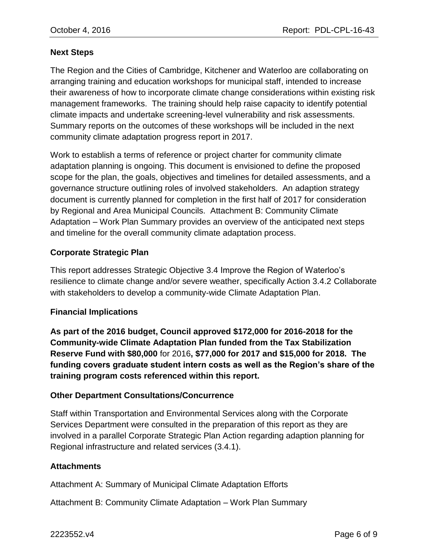### **Next Steps**

The Region and the Cities of Cambridge, Kitchener and Waterloo are collaborating on arranging training and education workshops for municipal staff, intended to increase their awareness of how to incorporate climate change considerations within existing risk management frameworks. The training should help raise capacity to identify potential climate impacts and undertake screening-level vulnerability and risk assessments. Summary reports on the outcomes of these workshops will be included in the next community climate adaptation progress report in 2017.

Work to establish a terms of reference or project charter for community climate adaptation planning is ongoing. This document is envisioned to define the proposed scope for the plan, the goals, objectives and timelines for detailed assessments, and a governance structure outlining roles of involved stakeholders. An adaption strategy document is currently planned for completion in the first half of 2017 for consideration by Regional and Area Municipal Councils. Attachment B: Community Climate Adaptation – Work Plan Summary provides an overview of the anticipated next steps and timeline for the overall community climate adaptation process.

### **Corporate Strategic Plan**

This report addresses Strategic Objective 3.4 Improve the Region of Waterloo's resilience to climate change and/or severe weather, specifically Action 3.4.2 Collaborate with stakeholders to develop a community-wide Climate Adaptation Plan.

#### **Financial Implications**

**As part of the 2016 budget, Council approved \$172,000 for 2016-2018 for the Community-wide Climate Adaptation Plan funded from the Tax Stabilization Reserve Fund with \$80,000** for 2016**, \$77,000 for 2017 and \$15,000 for 2018. The funding covers graduate student intern costs as well as the Region's share of the training program costs referenced within this report.**

#### **Other Department Consultations/Concurrence**

Staff within Transportation and Environmental Services along with the Corporate Services Department were consulted in the preparation of this report as they are involved in a parallel Corporate Strategic Plan Action regarding adaption planning for Regional infrastructure and related services (3.4.1).

#### **Attachments**

Attachment A: Summary of Municipal Climate Adaptation Efforts

Attachment B: Community Climate Adaptation – Work Plan Summary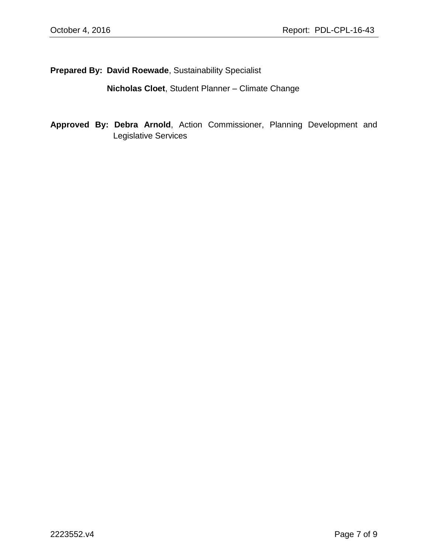**Prepared By: David Roewade**, Sustainability Specialist

**Nicholas Cloet**, Student Planner – Climate Change

**Approved By: Debra Arnold**, Action Commissioner, Planning Development and Legislative Services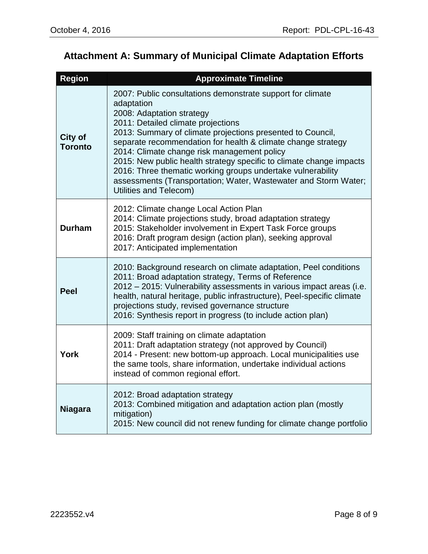# **Attachment A: Summary of Municipal Climate Adaptation Efforts**

| <b>Region</b>             | <b>Approximate Timeline</b>                                                                                                                                                                                                                                                                                                                                                                                                                                                                                                                                 |  |
|---------------------------|-------------------------------------------------------------------------------------------------------------------------------------------------------------------------------------------------------------------------------------------------------------------------------------------------------------------------------------------------------------------------------------------------------------------------------------------------------------------------------------------------------------------------------------------------------------|--|
| City of<br><b>Toronto</b> | 2007: Public consultations demonstrate support for climate<br>adaptation<br>2008: Adaptation strategy<br>2011: Detailed climate projections<br>2013: Summary of climate projections presented to Council,<br>separate recommendation for health & climate change strategy<br>2014: Climate change risk management policy<br>2015: New public health strategy specific to climate change impacts<br>2016: Three thematic working groups undertake vulnerability<br>assessments (Transportation; Water, Wastewater and Storm Water;<br>Utilities and Telecom) |  |
| <b>Durham</b>             | 2012: Climate change Local Action Plan<br>2014: Climate projections study, broad adaptation strategy<br>2015: Stakeholder involvement in Expert Task Force groups<br>2016: Draft program design (action plan), seeking approval<br>2017: Anticipated implementation                                                                                                                                                                                                                                                                                         |  |
| <b>Peel</b>               | 2010: Background research on climate adaptation, Peel conditions<br>2011: Broad adaptation strategy, Terms of Reference<br>2012 – 2015: Vulnerability assessments in various impact areas (i.e.<br>health, natural heritage, public infrastructure), Peel-specific climate<br>projections study, revised governance structure<br>2016: Synthesis report in progress (to include action plan)                                                                                                                                                                |  |
| <b>York</b>               | 2009: Staff training on climate adaptation<br>2011: Draft adaptation strategy (not approved by Council)<br>2014 - Present: new bottom-up approach. Local municipalities use<br>the same tools, share information, undertake individual actions<br>instead of common regional effort.                                                                                                                                                                                                                                                                        |  |
| <b>Niagara</b>            | 2012: Broad adaptation strategy<br>2013: Combined mitigation and adaptation action plan (mostly<br>mitigation)<br>2015: New council did not renew funding for climate change portfolio                                                                                                                                                                                                                                                                                                                                                                      |  |